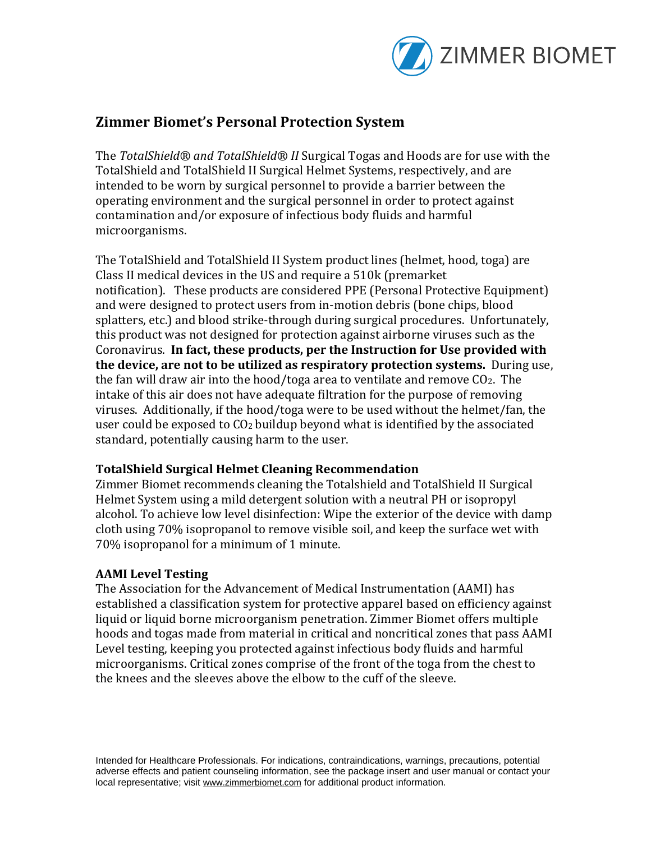

## **Zimmer Biomet's Personal Protection System**

The *TotalShield® and TotalShield® II* Surgical Togas and Hoods are for use with the TotalShield and TotalShield II Surgical Helmet Systems, respectively, and are intended to be worn by surgical personnel to provide a barrier between the operating environment and the surgical personnel in order to protect against contamination and/or exposure of infectious body fluids and harmful microorganisms.

The TotalShield and TotalShield II System product lines (helmet, hood, toga) are Class II medical devices in the US and require a 510k (premarket notification). These products are considered PPE (Personal Protective Equipment) and were designed to protect users from in-motion debris (bone chips, blood splatters, etc.) and blood strike-through during surgical procedures. Unfortunately, this product was not designed for protection against airborne viruses such as the Coronavirus. **In fact, these products, per the Instruction for Use provided with the device, are not to be utilized as respiratory protection systems.** During use, the fan will draw air into the hood/toga area to ventilate and remove  $CO<sub>2</sub>$ . The intake of this air does not have adequate filtration for the purpose of removing viruses. Additionally, if the hood/toga were to be used without the helmet/fan, the user could be exposed to CO<sup>2</sup> buildup beyond what is identified by the associated standard, potentially causing harm to the user.

## **TotalShield Surgical Helmet Cleaning Recommendation**

Zimmer Biomet recommends cleaning the Totalshield and TotalShield II Surgical Helmet System using a mild detergent solution with a neutral PH or isopropyl alcohol. To achieve low level disinfection: Wipe the exterior of the device with damp cloth using 70% isopropanol to remove visible soil, and keep the surface wet with 70% isopropanol for a minimum of 1 minute.

## **AAMI Level Testing**

The Association for the Advancement of Medical Instrumentation (AAMI) has established a classification system for protective apparel based on efficiency against liquid or liquid borne microorganism penetration. Zimmer Biomet offers multiple hoods and togas made from material in critical and noncritical zones that pass AAMI Level testing, keeping you protected against infectious body fluids and harmful microorganisms. Critical zones comprise of the front of the toga from the chest to the knees and the sleeves above the elbow to the cuff of the sleeve.